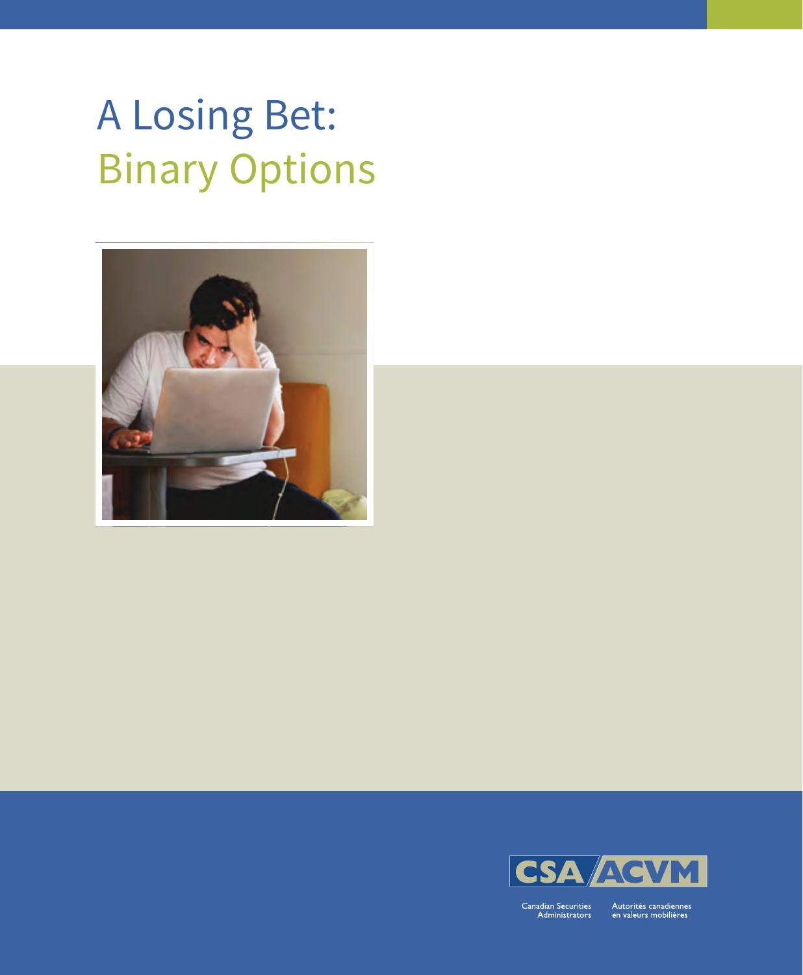# A Losing Bet: Binary Options





Canadian Securities<br>Administrators

Autorités canadiennes<br>en valeurs mobilières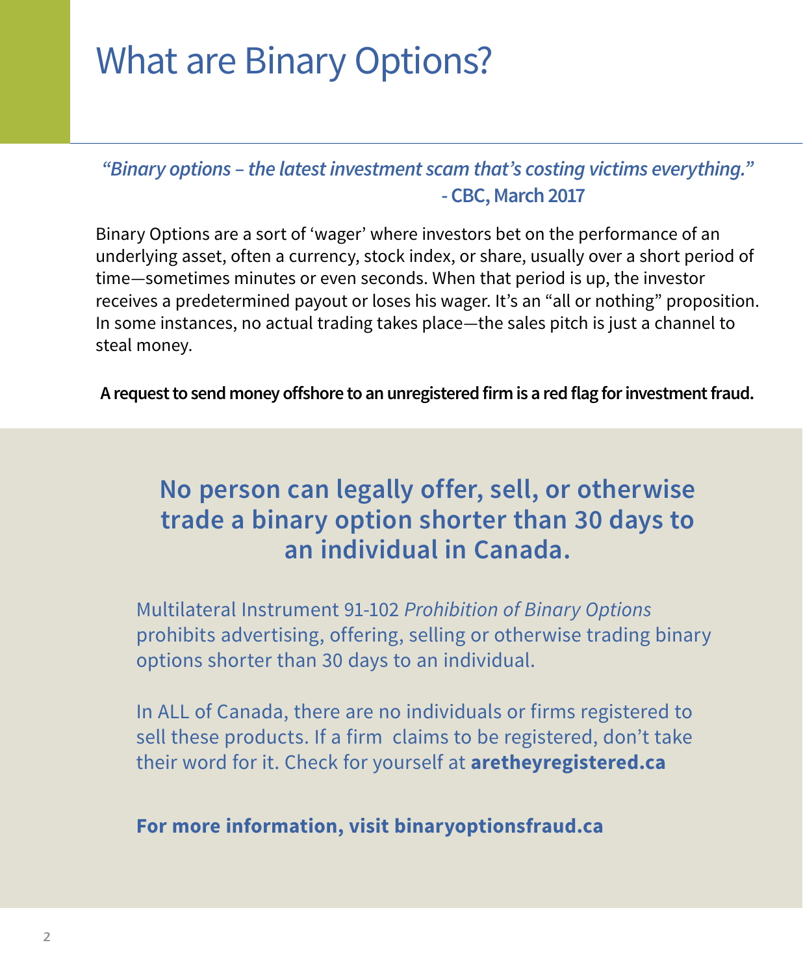### What are Binary Options?

*"Binary options – the latest investment scam that's costing victims everything."*   **- CBC, March 2017**

Binary Options are a sort of 'wager' where investors bet on the performance of an underlying asset, often a currency, stock index, or share, usually over a short period of time—sometimes minutes or even seconds. When that period is up, the investor receives a predetermined payout or loses his wager. It's an "all or nothing" proposition. In some instances, no actual trading takes place—the sales pitch is just a channel to steal money.

**A request to send money offshore to an unregistered firm is a red flag for investment fraud.** 

### **No person can legally offer, sell, or otherwise trade a binary option shorter than 30 days to an individual in Canada.**

Multilateral Instrument 91-102 *Prohibition of Binary Options* prohibits advertising, offering, selling or otherwise trading binary options shorter than 30 days to an individual.

In ALL of Canada, there are no individuals or firms registered to sell these products. If a firm claims to be registered, don't take their word for it. Check for yourself at **[aretheyregistered.ca](http://www.aretheyregistered.ca)**

**For more information, visit binaryoptionsfraud.ca**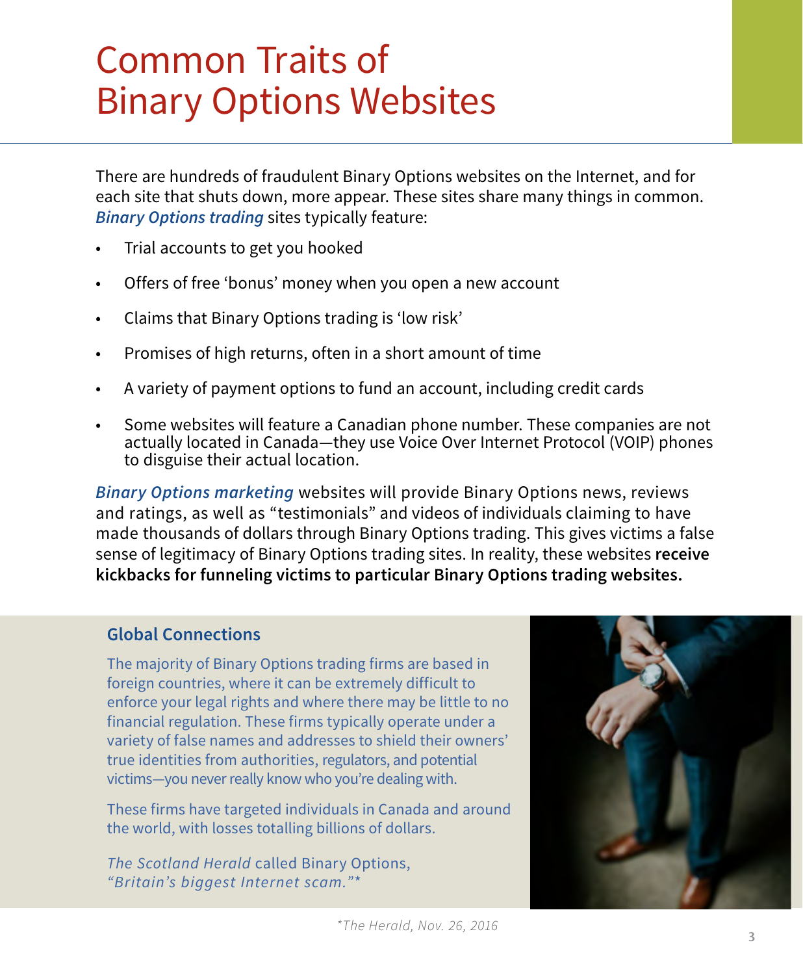### Common Traits of Binary Options Websites

There are hundreds of fraudulent Binary Options websites on the Internet, and for each site that shuts down, more appear. These sites share many things in common. *Binary Options trading* sites typically feature:

- Trial accounts to get you hooked
- Offers of free 'bonus' money when you open a new account
- • Claims that Binary Options trading is 'low risk'
- • Promises of high returns, often in a short amount of time
- A variety of payment options to fund an account, including credit cards
- Some websites will feature a Canadian phone number. These companies are not actually located in Canada—they use Voice Over Internet Protocol (VOIP) phones to disguise their actual location.

*Binary Options marketing* websites will provide Binary Options news, reviews and ratings, as well as "testimonials" and videos of individuals claiming to have made thousands of dollars through Binary Options trading. This gives victims a false sense of legitimacy of Binary Options trading sites. In reality, these websites **receive kickbacks for funneling victims to particular Binary Options trading websites.** 

#### **Global Connections**

The majority of Binary Options trading firms are based in foreign countries, where it can be extremely difficult to enforce your legal rights and where there may be little to no financial regulation. These firms typically operate under a variety of false names and addresses to shield their owners' true identities from authorities, regulators, and potential victims—you never really know who you're dealing with.

These firms have targeted individuals in Canada and around the world, with losses totalling billions of dollars.

*The Scotland Herald* called Binary Options, *"Britain's biggest Internet scam."*\*

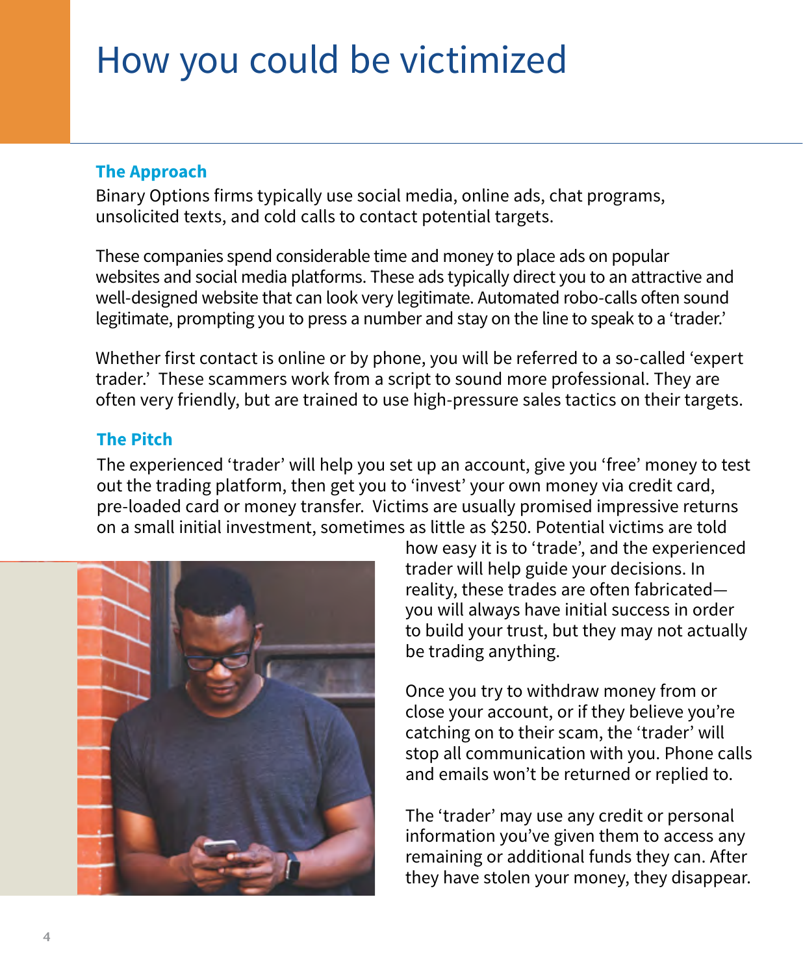### How you could be victimized

### **The Approach**

Binary Options firms typically use social media, online ads, chat programs, unsolicited texts, and cold calls to contact potential targets.

These companies spend considerable time and money to place ads on popular websites and social media platforms. These ads typically direct you to an attractive and well-designed website that can look very legitimate. Automated robo-calls often sound legitimate, prompting you to press a number and stay on the line to speak to a 'trader.'

Whether first contact is online or by phone, you will be referred to a so-called 'expert trader.' These scammers work from a script to sound more professional. They are often very friendly, but are trained to use high-pressure sales tactics on their targets.

#### **The Pitch**

The experienced 'trader' will help you set up an account, give you 'free' money to test out the trading platform, then get you to 'invest' your own money via credit card, pre-loaded card or money transfer. Victims are usually promised impressive returns on a small initial investment, sometimes as little as \$250. Potential victims are told



how easy it is to 'trade', and the experienced trader will help guide your decisions. In reality, these trades are often fabricated you will always have initial success in order to build your trust, but they may not actually be trading anything.

Once you try to withdraw money from or close your account, or if they believe you're catching on to their scam, the 'trader' will stop all communication with you. Phone calls and emails won't be returned or replied to.

The 'trader' may use any credit or personal information you've given them to access any remaining or additional funds they can. After they have stolen your money, they disappear.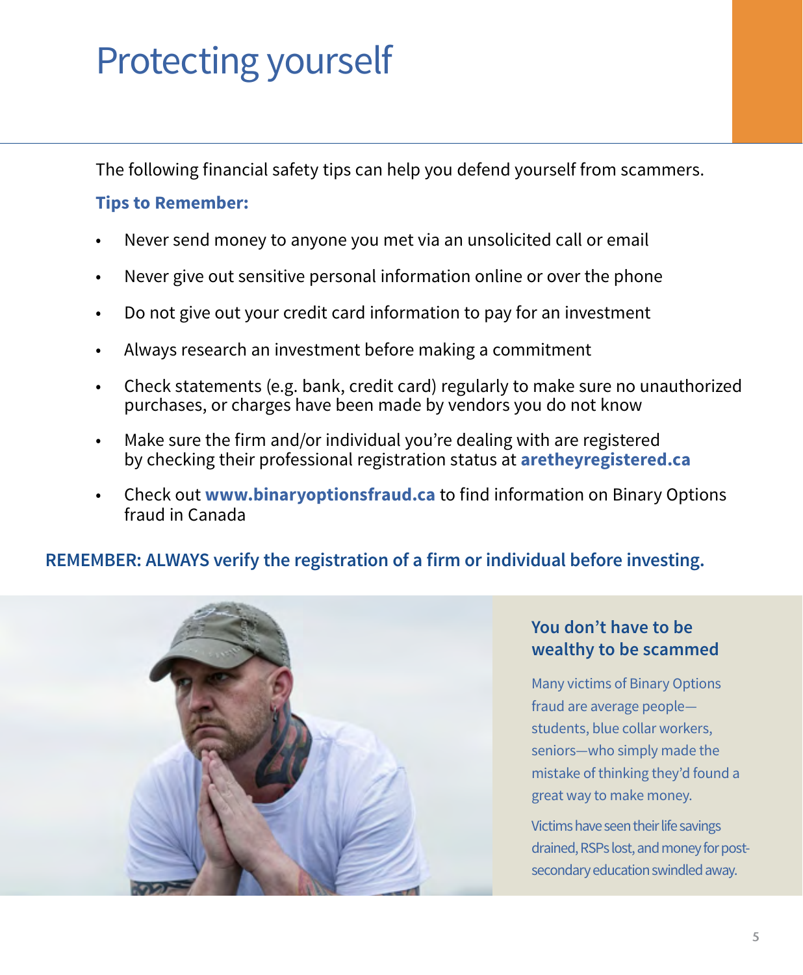## Protecting yourself

The following financial safety tips can help you defend yourself from scammers.

### **Tips to Remember:**

- Never send money to anyone you met via an unsolicited call or email
- Never give out sensitive personal information online or over the phone
- Do not give out your credit card information to pay for an investment
- Always research an investment before making a commitment
- Check statements (e.g. bank, credit card) regularly to make sure no unauthorized purchases, or charges have been made by vendors you do not know
- Make sure the firm and/or individual you're dealing with are registered by checking their professional registration status at **[aretheyregistered.ca](http://www.aretheyregistered.ca)**
- • Check out **www.binaryoptionsfraud.ca** to find information on Binary Options fraud in Canada

### **REMEMBER: ALWAYS verify the registration of a firm or individual before investing.**



### **You don't have to be wealthy to be scammed**

Many victims of Binary Options fraud are average people students, blue collar workers, seniors—who simply made the mistake of thinking they'd found a great way to make money.

Victims have seen their life savings drained, RSPs lost, and money for postsecondary education swindled away.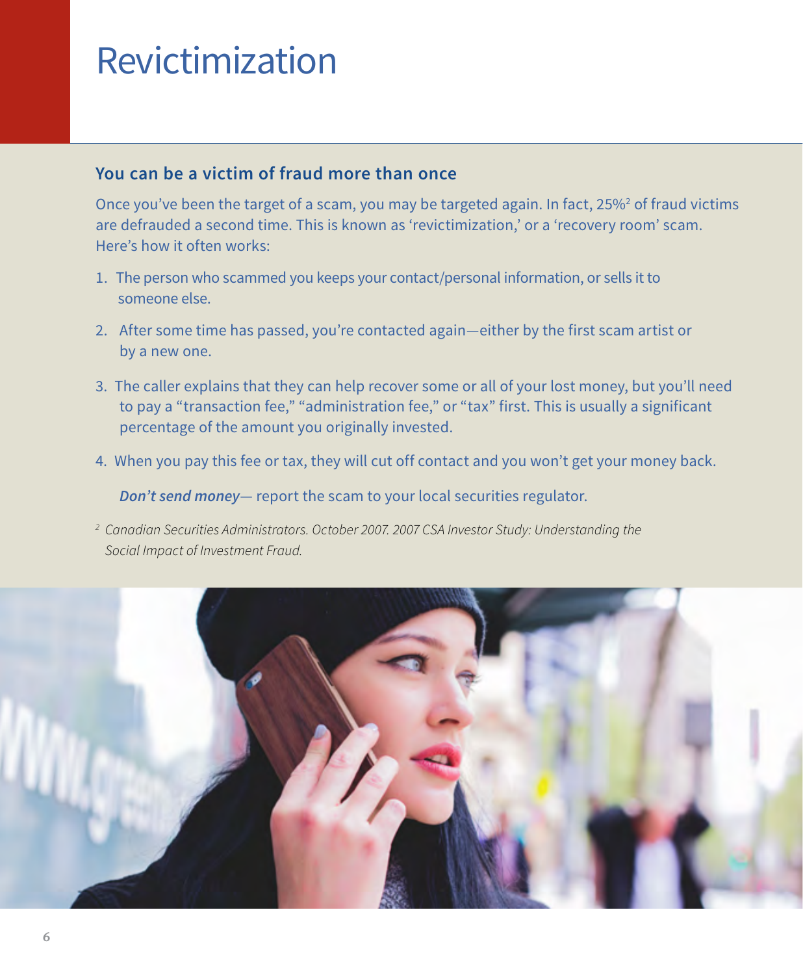### Revictimization

#### **You can be a victim of fraud more than once**

Once you've been the target of a scam, you may be targeted again. In fact, 25%<sup>2</sup> of fraud victims are defrauded a second time. This is known as 'revictimization,' or a 'recovery room' scam. Here's how it often works:

- 1. The person who scammed you keeps your contact/personal information, or sells it to someone else.
- 2. After some time has passed, you're contacted again—either by the first scam artist or by a new one.
- 3. The caller explains that they can help recover some or all of your lost money, but you'll need to pay a "transaction fee," "administration fee," or "tax" first. This is usually a significant percentage of the amount you originally invested.
- 4. When you pay this fee or tax, they will cut off contact and you won't get your money back.

*Don't send money*— report the scam to your local securities regulator.

*<sup>2</sup> Canadian Securities Administrators. October 2007. 2007 CSA Investor Study: Understanding the Social Impact of Investment Fraud.*

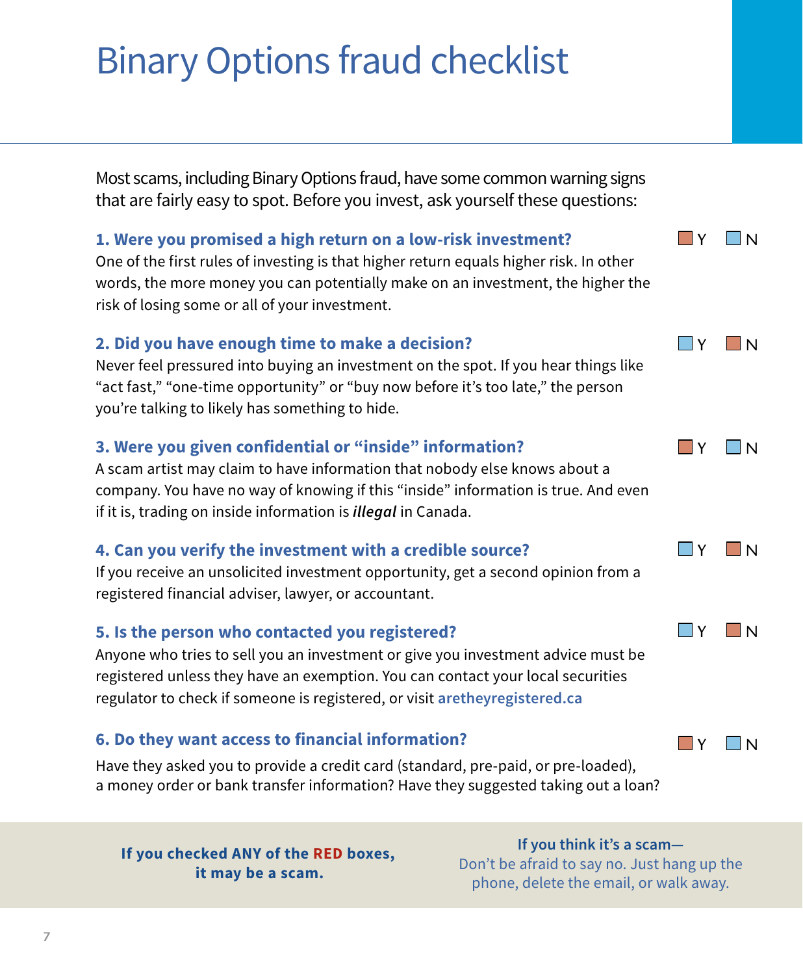## Binary Options fraud checklist

Most scams, including Binary Options fraud, have some common warning signs that are fairly easy to spot. Before you invest, ask yourself these questions:

#### **1. Were you promised a high return on a low-risk investment?** One of the first rules of investing is that higher return equals higher risk. In other words, the more money you can potentially make on an investment, the higher the risk of losing some or all of your investment.

### **2. Did you have enough time to make a decision?**

Never feel pressured into buying an investment on the spot. If you hear things like "act fast," "one-time opportunity" or "buy now before it's too late," the person you're talking to likely has something to hide.

### **3. Were you given confidential or "inside" information?**

A scam artist may claim to have information that nobody else knows about a company. You have no way of knowing if this "inside" information is true. And even if it is, trading on inside information is *illegal* in Canada.

#### **4. Can you verify the investment with a credible source?**

If you receive an unsolicited investment opportunity, get a second opinion from a registered financial adviser, lawyer, or accountant.

#### **5. Is the person who contacted you registered?**

Anyone who tries to sell you an investment or give you investment advice must be registered unless they have an exemption. You can contact your local securities regulator to check if someone is registered, or visit **[aretheyregistered.ca](http://www.aretheyregistered.ca)**

### **6. Do they want access to financial information?**

Have they asked you to provide a credit card (standard, pre-paid, or pre-loaded), a money order or bank transfer information? Have they suggested taking out a loan?

 **If you checked ANY of the RED boxes, it may be a scam.**

**If you think it's a scam—** Don't be afraid to say no. Just hang up the phone, delete the email, or walk away.



 $\Box$  Y  $\Box$  N

 $\Box$ Y  $\Box$ N

 $\Box$ Y  $\Box$ N

 $\Box$ Y  $\Box$ N

**N**Y I IN